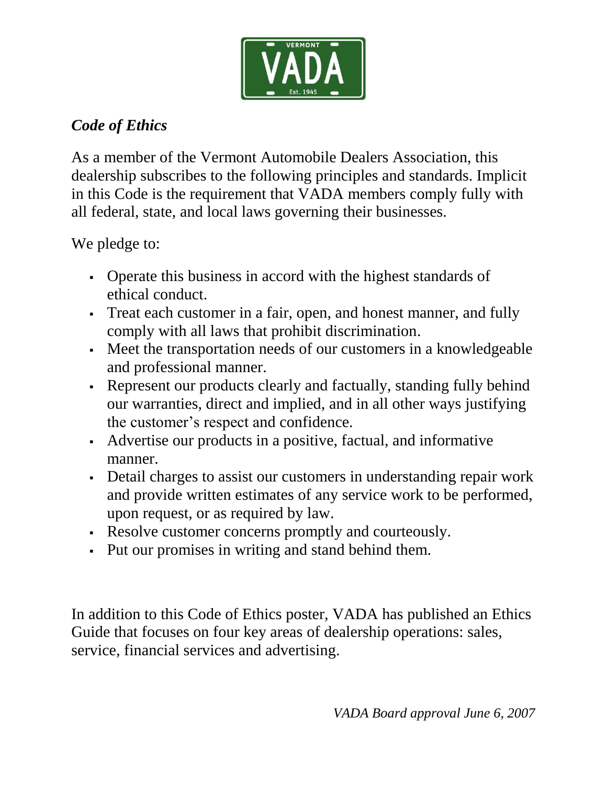

# *Code of Ethics*

As a member of the Vermont Automobile Dealers Association, this dealership subscribes to the following principles and standards. Implicit in this Code is the requirement that VADA members comply fully with all federal, state, and local laws governing their businesses.

We pledge to:

- Operate this business in accord with the highest standards of ethical conduct.
- Treat each customer in a fair, open, and honest manner, and fully comply with all laws that prohibit discrimination.
- Meet the transportation needs of our customers in a knowledgeable and professional manner.
- Represent our products clearly and factually, standing fully behind our warranties, direct and implied, and in all other ways justifying the customer's respect and confidence.
- Advertise our products in a positive, factual, and informative manner.
- Detail charges to assist our customers in understanding repair work and provide written estimates of any service work to be performed, upon request, or as required by law.
- Resolve customer concerns promptly and courteously.
- Put our promises in writing and stand behind them.

In addition to this Code of Ethics poster, VADA has published an Ethics Guide that focuses on four key areas of dealership operations: sales, service, financial services and advertising.